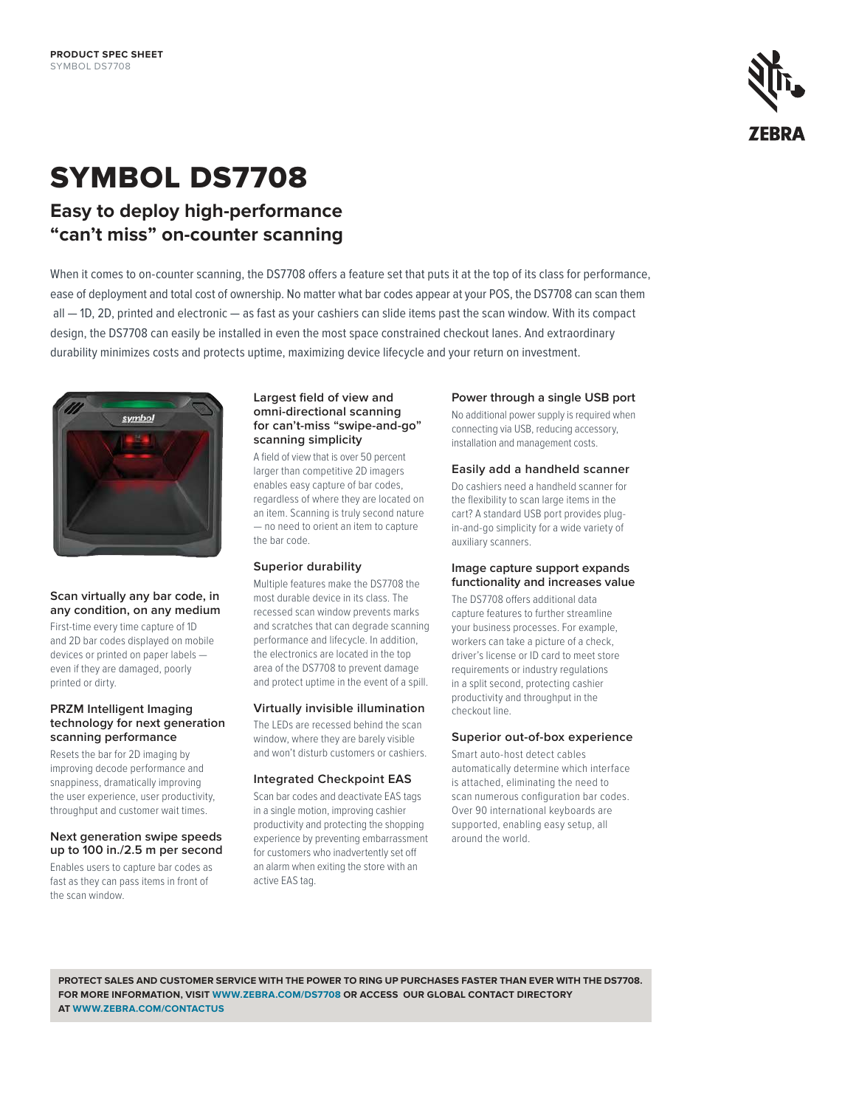

# SYMBOL DS7708

# **Easy to deploy high-performance "can't miss" on-counter scanning**

When it comes to on-counter scanning, the DS7708 offers a feature set that puts it at the top of its class for performance, ease of deployment and total cost of ownership. No matter what bar codes appear at your POS, the DS7708 can scan them all — 1D, 2D, printed and electronic — as fast as your cashiers can slide items past the scan window. With its compact design, the DS7708 can easily be installed in even the most space constrained checkout lanes. And extraordinary durability minimizes costs and protects uptime, maximizing device lifecycle and your return on investment.



#### **Scan virtually any bar code, in any condition, on any medium**

First-time every time capture of 1D and 2D bar codes displayed on mobile devices or printed on paper labels even if they are damaged, poorly printed or dirty.

#### **PRZM Intelligent Imaging technology for next generation scanning performance**

Resets the bar for 2D imaging by improving decode performance and snappiness, dramatically improving the user experience, user productivity, throughput and customer wait times.

## **Next generation swipe speeds up to 100 in./2.5 m per second**

Enables users to capture bar codes as fast as they can pass items in front of the scan window.

#### **Largest field of view and omni-directional scanning for can't-miss "swipe-and-go" scanning simplicity**

A field of view that is over 50 percent larger than competitive 2D imagers enables easy capture of bar codes, regardless of where they are located on an item. Scanning is truly second nature — no need to orient an item to capture the bar code.

# **Superior durability**

Multiple features make the DS7708 the most durable device in its class. The recessed scan window prevents marks and scratches that can degrade scanning performance and lifecycle. In addition, the electronics are located in the top area of the DS7708 to prevent damage and protect uptime in the event of a spill.

## **Virtually invisible illumination**

The LEDs are recessed behind the scan window, where they are barely visible and won't disturb customers or cashiers.

## **Integrated Checkpoint EAS**

Scan bar codes and deactivate EAS tags in a single motion, improving cashier productivity and protecting the shopping experience by preventing embarrassment for customers who inadvertently set off an alarm when exiting the store with an active EAS tag.

#### **Power through a single USB port**

No additional power supply is required when connecting via USB, reducing accessory, installation and management costs.

#### **Easily add a handheld scanner**

Do cashiers need a handheld scanner for the flexibility to scan large items in the cart? A standard USB port provides plugin-and-go simplicity for a wide variety of auxiliary scanners.

#### **Image capture support expands functionality and increases value**

The DS7708 offers additional data capture features to further streamline your business processes. For example, workers can take a picture of a check, driver's license or ID card to meet store requirements or industry regulations in a split second, protecting cashier productivity and throughput in the checkout line.

## **Superior out-of-box experience**

Smart auto-host detect cables automatically determine which interface is attached, eliminating the need to scan numerous configuration bar codes. Over 90 international keyboards are supported, enabling easy setup, all around the world.

**PROTECT SALES AND CUSTOMER SERVICE WITH THE POWER TO RING UP PURCHASES FASTER THAN EVER WITH THE DS7708. FOR MORE INFORMATION, VISIT WWW.ZEBRA.COM/DS7708 OR ACCESS OUR GLOBAL CONTACT DIRECTORY AT WWW.ZEBRA.COM/CONTACTUS**